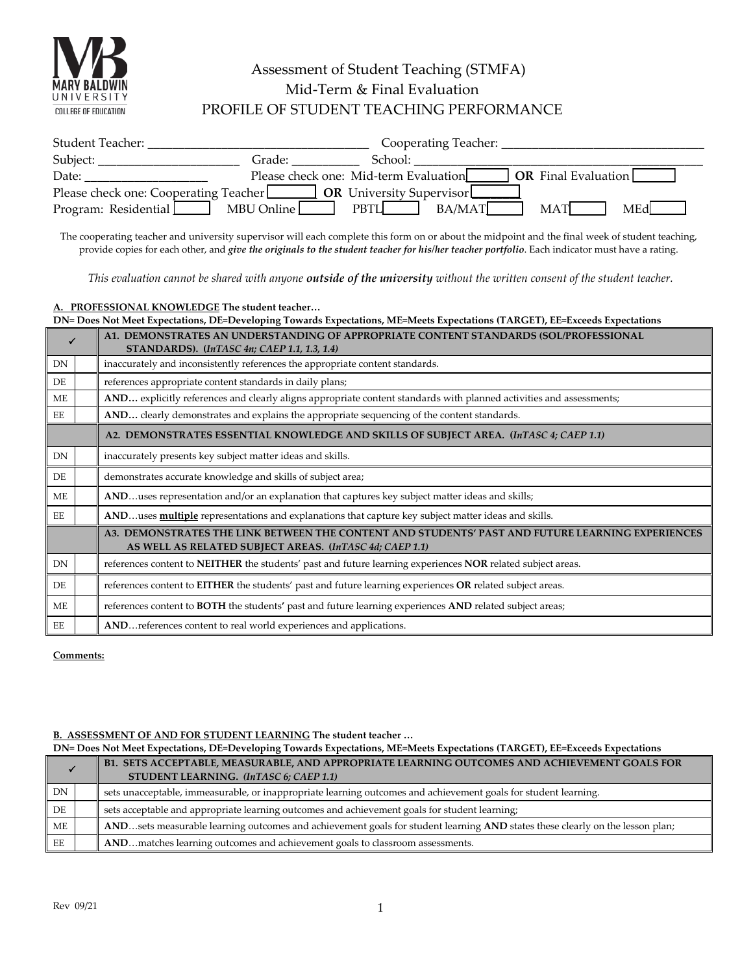

## Assessment of Student Teaching (STMFA) Mid-Term & Final Evaluation PROFILE OF STUDENT TEACHING PERFORMANCE

| Student Teacher:                      |                                       |                                 | Cooperating Teacher: |                            |
|---------------------------------------|---------------------------------------|---------------------------------|----------------------|----------------------------|
| Subject:                              | Grade:                                | School:                         |                      |                            |
| Date:                                 | Please check one: Mid-term Evaluation |                                 |                      | <b>OR</b> Final Evaluation |
| Please check one: Cooperating Teacher |                                       | <b>OR</b> University Supervisor |                      |                            |
| Program: Residential                  | MBU Online                            | PBTI.                           | BA/MAT               | MAT<br>MEdl                |

The cooperating teacher and university supervisor will each complete this form on or about the midpoint and the final week of student teaching, provide copies for each other, and *give the originals to the student teacher for his/her teacher portfolio*. Each indicator must have a rating.

*This evaluation cannot be shared with anyone outside of the university without the written consent of the student teacher.*

**A. PROFESSIONAL KNOWLEDGE The student teacher…**

|           | DN= Does Not Meet Expectations, DE=Developing Towards Expectations, ME=Meets Expectations (TARGET), EE=Exceeds Expectations |                                                                                                                                                             |  |
|-----------|-----------------------------------------------------------------------------------------------------------------------------|-------------------------------------------------------------------------------------------------------------------------------------------------------------|--|
|           |                                                                                                                             | A1. DEMONSTRATES AN UNDERSTANDING OF APPROPRIATE CONTENT STANDARDS (SOL/PROFESSIONAL<br>STANDARDS). (InTASC 4n; CAEP 1.1, 1.3, 1.4)                         |  |
| DN        |                                                                                                                             | inaccurately and inconsistently references the appropriate content standards.                                                                               |  |
| DE        |                                                                                                                             | references appropriate content standards in daily plans;                                                                                                    |  |
| ME        |                                                                                                                             | AND explicitly references and clearly aligns appropriate content standards with planned activities and assessments;                                         |  |
| EE        |                                                                                                                             | AND clearly demonstrates and explains the appropriate sequencing of the content standards.                                                                  |  |
|           |                                                                                                                             | A2. DEMONSTRATES ESSENTIAL KNOWLEDGE AND SKILLS OF SUBJECT AREA. (InTASC 4; CAEP 1.1)                                                                       |  |
| <b>DN</b> |                                                                                                                             | inaccurately presents key subject matter ideas and skills.                                                                                                  |  |
| DE        |                                                                                                                             | demonstrates accurate knowledge and skills of subject area;                                                                                                 |  |
| <b>ME</b> |                                                                                                                             | ANDuses representation and/or an explanation that captures key subject matter ideas and skills;                                                             |  |
| EE        |                                                                                                                             | ANDuses <b>multiple</b> representations and explanations that capture key subject matter ideas and skills.                                                  |  |
|           |                                                                                                                             | A3. DEMONSTRATES THE LINK BETWEEN THE CONTENT AND STUDENTS' PAST AND FUTURE LEARNING EXPERIENCES<br>AS WELL AS RELATED SUBJECT AREAS. (InTASC 4d; CAEP 1.1) |  |
| DN        |                                                                                                                             | references content to NEITHER the students' past and future learning experiences NOR related subject areas.                                                 |  |
| DE        |                                                                                                                             | references content to EITHER the students' past and future learning experiences OR related subject areas.                                                   |  |
| ME        |                                                                                                                             | references content to <b>BOTH</b> the students' past and future learning experiences <b>AND</b> related subject areas;                                      |  |
| EE        |                                                                                                                             | AND references content to real world experiences and applications.                                                                                          |  |

**Comments:** 

# **B.** ASSESSMENT OF AND FOR STUDENT LEARNING The student teacher ...<br>DN= Does Not Meet Expectations. DE=Developing Towards Expectations. ME=Me

|    | DN= Does Not Meet Expectations, DE=Developing Towards Expectations, ME=Meets Expectations (TARGET), EE=Exceeds Expectations |                                                                                                                              |
|----|-----------------------------------------------------------------------------------------------------------------------------|------------------------------------------------------------------------------------------------------------------------------|
|    |                                                                                                                             | B1. SETS ACCEPTABLE, MEASURABLE, AND APPROPRIATE LEARNING OUTCOMES AND ACHIEVEMENT GOALS FOR                                 |
|    |                                                                                                                             | STUDENT LEARNING. (InTASC 6; CAEP 1.1)                                                                                       |
| DN |                                                                                                                             | sets unacceptable, immeasurable, or inappropriate learning outcomes and achievement goals for student learning.              |
| DE |                                                                                                                             | sets acceptable and appropriate learning outcomes and achievement goals for student learning;                                |
| МE |                                                                                                                             | ANDsets measurable learning outcomes and achievement goals for student learning AND states these clearly on the lesson plan; |
| EЕ |                                                                                                                             | ANDmatches learning outcomes and achievement goals to classroom assessments.                                                 |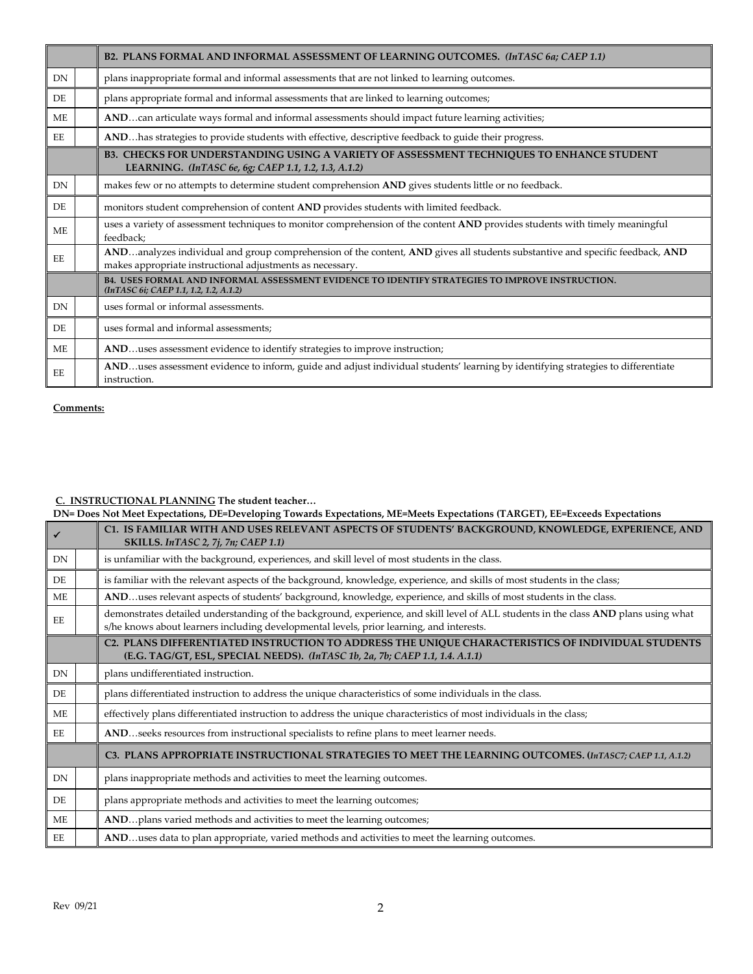|           | B2. PLANS FORMAL AND INFORMAL ASSESSMENT OF LEARNING OUTCOMES. (InTASC 6a; CAEP 1.1)                                                                                                      |
|-----------|-------------------------------------------------------------------------------------------------------------------------------------------------------------------------------------------|
| DN        | plans inappropriate formal and informal assessments that are not linked to learning outcomes.                                                                                             |
| DE.       | plans appropriate formal and informal assessments that are linked to learning outcomes;                                                                                                   |
| <b>ME</b> | ANDcan articulate ways formal and informal assessments should impact future learning activities;                                                                                          |
| EE        | ANDhas strategies to provide students with effective, descriptive feedback to guide their progress.                                                                                       |
|           | B3. CHECKS FOR UNDERSTANDING USING A VARIETY OF ASSESSMENT TECHNIQUES TO ENHANCE STUDENT<br>LEARNING. (InTASC 6e, 6g; CAEP 1.1, 1.2, 1.3, A.1.2)                                          |
| <b>DN</b> | makes few or no attempts to determine student comprehension AND gives students little or no feedback.                                                                                     |
| DE.       | monitors student comprehension of content AND provides students with limited feedback.                                                                                                    |
| <b>ME</b> | uses a variety of assessment techniques to monitor comprehension of the content AND provides students with timely meaningful<br>feedback;                                                 |
| EE.       | ANDanalyzes individual and group comprehension of the content, AND gives all students substantive and specific feedback, AND<br>makes appropriate instructional adjustments as necessary. |
|           | B4. USES FORMAL AND INFORMAL ASSESSMENT EVIDENCE TO IDENTIFY STRATEGIES TO IMPROVE INSTRUCTION.<br>(InTASC 6i; CAEP 1.1, 1.2, 1.2, A.1.2)                                                 |
| <b>DN</b> | uses formal or informal assessments.                                                                                                                                                      |
| DE.       | uses formal and informal assessments;                                                                                                                                                     |
| <b>ME</b> | ANDuses assessment evidence to identify strategies to improve instruction;                                                                                                                |
| EЕ        | ANDuses assessment evidence to inform, guide and adjust individual students' learning by identifying strategies to differentiate<br>instruction.                                          |

#### **C. INSTRUCTIONAL PLANNING The student teacher…**

**DN= Does Not Meet Expectations, DE=Developing Towards Expectations, ME=Meets Expectations (TARGET), EE=Exceeds Expectations**

|           | C1. IS FAMILIAR WITH AND USES RELEVANT ASPECTS OF STUDENTS' BACKGROUND, KNOWLEDGE, EXPERIENCE, AND<br>SKILLS. InTASC 2, 7j, 7n; CAEP 1.1)                                                                                        |
|-----------|----------------------------------------------------------------------------------------------------------------------------------------------------------------------------------------------------------------------------------|
| DN        | is unfamiliar with the background, experiences, and skill level of most students in the class.                                                                                                                                   |
| DE        | is familiar with the relevant aspects of the background, knowledge, experience, and skills of most students in the class;                                                                                                        |
| ME        | ANDuses relevant aspects of students' background, knowledge, experience, and skills of most students in the class.                                                                                                               |
| EE        | demonstrates detailed understanding of the background, experience, and skill level of ALL students in the class AND plans using what<br>s/he knows about learners including developmental levels, prior learning, and interests. |
|           | C2. PLANS DIFFERENTIATED INSTRUCTION TO ADDRESS THE UNIQUE CHARACTERISTICS OF INDIVIDUAL STUDENTS<br>(E.G. TAG/GT, ESL, SPECIAL NEEDS). (InTASC 1b, 2a, 7b; CAEP 1.1, 1.4. A.1.1)                                                |
| DN        | plans undifferentiated instruction.                                                                                                                                                                                              |
|           |                                                                                                                                                                                                                                  |
| DE        | plans differentiated instruction to address the unique characteristics of some individuals in the class.                                                                                                                         |
| <b>ME</b> | effectively plans differentiated instruction to address the unique characteristics of most individuals in the class;                                                                                                             |
| EE.       | ANDseeks resources from instructional specialists to refine plans to meet learner needs.                                                                                                                                         |
|           | C3. PLANS APPROPRIATE INSTRUCTIONAL STRATEGIES TO MEET THE LEARNING OUTCOMES. (InTASC7; CAEP 1.1, A.1.2)                                                                                                                         |
| DN        | plans inappropriate methods and activities to meet the learning outcomes.                                                                                                                                                        |
| DE        | plans appropriate methods and activities to meet the learning outcomes;                                                                                                                                                          |
| <b>ME</b> | ANDplans varied methods and activities to meet the learning outcomes;                                                                                                                                                            |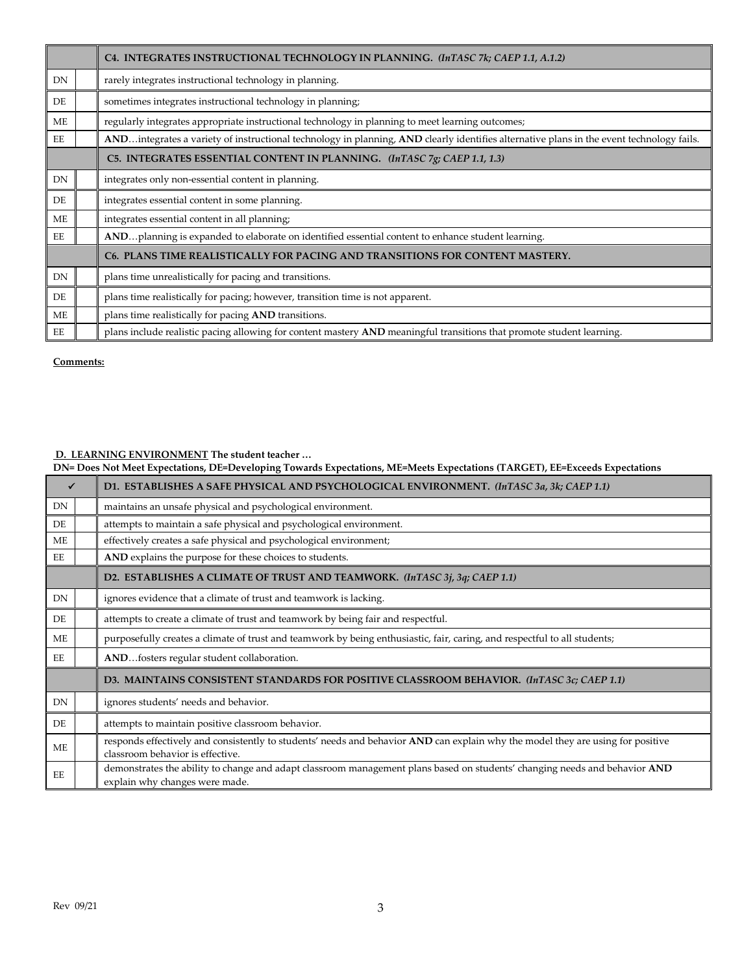|    | C4. INTEGRATES INSTRUCTIONAL TECHNOLOGY IN PLANNING. (InTASC 7k; CAEP 1.1, A.1.2)                                                        |
|----|------------------------------------------------------------------------------------------------------------------------------------------|
| DN | rarely integrates instructional technology in planning.                                                                                  |
| DE | sometimes integrates instructional technology in planning;                                                                               |
| ME | regularly integrates appropriate instructional technology in planning to meet learning outcomes;                                         |
| EE | ANDintegrates a variety of instructional technology in planning, AND clearly identifies alternative plans in the event technology fails. |
|    | C5. INTEGRATES ESSENTIAL CONTENT IN PLANNING. (InTASC 7g; CAEP 1.1, 1.3)                                                                 |
| DN | integrates only non-essential content in planning.                                                                                       |
| DE | integrates essential content in some planning.                                                                                           |
| ME | integrates essential content in all planning;                                                                                            |
| EE | ANDplanning is expanded to elaborate on identified essential content to enhance student learning.                                        |
|    | C6. PLANS TIME REALISTICALLY FOR PACING AND TRANSITIONS FOR CONTENT MASTERY.                                                             |
| DN | plans time unrealistically for pacing and transitions.                                                                                   |
| DE | plans time realistically for pacing; however, transition time is not apparent.                                                           |
| ME | plans time realistically for pacing AND transitions.                                                                                     |
| EE | plans include realistic pacing allowing for content mastery AND meaningful transitions that promote student learning.                    |

#### **D. LEARNING ENVIRONMENT The student teacher …**

#### **DN= Does Not Meet Expectations, DE=Developing Towards Expectations, ME=Meets Expectations (TARGET), EE=Exceeds Expectations**

|           | D1. ESTABLISHES A SAFE PHYSICAL AND PSYCHOLOGICAL ENVIRONMENT. (InTASC 3a, 3k; CAEP 1.1)                                                                            |
|-----------|---------------------------------------------------------------------------------------------------------------------------------------------------------------------|
| DN        | maintains an unsafe physical and psychological environment.                                                                                                         |
| DE        | attempts to maintain a safe physical and psychological environment.                                                                                                 |
| ME        | effectively creates a safe physical and psychological environment;                                                                                                  |
| EE        | AND explains the purpose for these choices to students.                                                                                                             |
|           | D2. ESTABLISHES A CLIMATE OF TRUST AND TEAMWORK. (InTASC 3j, 3q; CAEP 1.1)                                                                                          |
| <b>DN</b> | ignores evidence that a climate of trust and teamwork is lacking.                                                                                                   |
| DE        | attempts to create a climate of trust and teamwork by being fair and respectful.                                                                                    |
| ME        | purposefully creates a climate of trust and teamwork by being enthusiastic, fair, caring, and respectful to all students;                                           |
| EE        | ANDfosters regular student collaboration.                                                                                                                           |
|           | D3. MAINTAINS CONSISTENT STANDARDS FOR POSITIVE CLASSROOM BEHAVIOR. (InTASC 3c; CAEP 1.1)                                                                           |
| DN        | ignores students' needs and behavior.                                                                                                                               |
| DE        | attempts to maintain positive classroom behavior.                                                                                                                   |
| ME        | responds effectively and consistently to students' needs and behavior AND can explain why the model they are using for positive<br>classroom behavior is effective. |
| EЕ        | demonstrates the ability to change and adapt classroom management plans based on students' changing needs and behavior AND<br>explain why changes were made.        |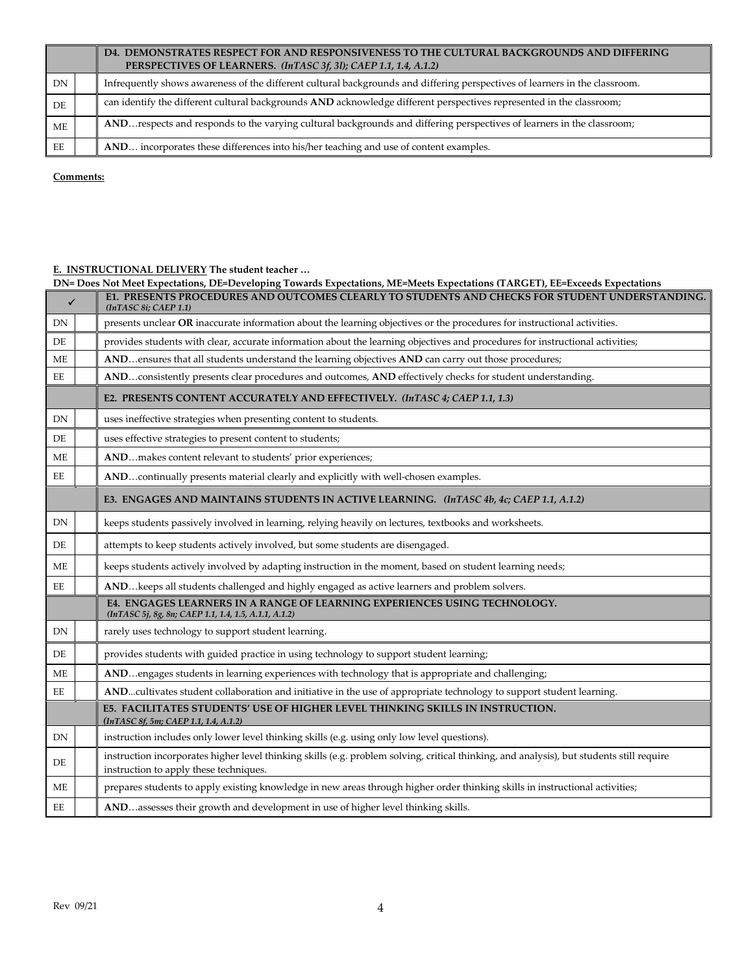|           | D4. DEMONSTRATES RESPECT FOR AND RESPONSIVENESS TO THE CULTURAL BACKGROUNDS AND DIFFERING<br>PERSPECTIVES OF LEARNERS. (InTASC 3f, 3l); CAEP 1.1, 1.4, A.1.2) |
|-----------|---------------------------------------------------------------------------------------------------------------------------------------------------------------|
| DN        | Infrequently shows awareness of the different cultural backgrounds and differing perspectives of learners in the classroom.                                   |
| DE        | can identify the different cultural backgrounds AND acknowledge different perspectives represented in the classroom;                                          |
| <b>ME</b> | AND respects and responds to the varying cultural backgrounds and differing perspectives of learners in the classroom;                                        |
| EE        | AND incorporates these differences into his/her teaching and use of content examples.                                                                         |

## **E. INSTRUCTIONAL DELIVERY The student teacher …**

|               | DN= Does Not Meet Expectations, DE=Developing Towards Expectations, ME=Meets Expectations (TARGET), EE=Exceeds Expectations                                                         |
|---------------|-------------------------------------------------------------------------------------------------------------------------------------------------------------------------------------|
| $\checkmark$  | E1. PRESENTS PROCEDURES AND OUTCOMES CLEARLY TO STUDENTS AND CHECKS FOR STUDENT UNDERSTANDING.<br>(InTASC 8i; CAEP 1.1)                                                             |
| DN            | presents unclear OR inaccurate information about the learning objectives or the procedures for instructional activities.                                                            |
| DE            | provides students with clear, accurate information about the learning objectives and procedures for instructional activities;                                                       |
| ME            | ANDensures that all students understand the learning objectives AND can carry out those procedures;                                                                                 |
| EЕ            | ANDconsistently presents clear procedures and outcomes, AND effectively checks for student understanding.                                                                           |
|               | E2. PRESENTS CONTENT ACCURATELY AND EFFECTIVELY. (InTASC 4; CAEP 1.1, 1.3)                                                                                                          |
| DN            | uses ineffective strategies when presenting content to students.                                                                                                                    |
| DE            | uses effective strategies to present content to students;                                                                                                                           |
| ME            | ANDmakes content relevant to students' prior experiences;                                                                                                                           |
| EE            | ANDcontinually presents material clearly and explicitly with well-chosen examples.                                                                                                  |
|               | E3. ENGAGES AND MAINTAINS STUDENTS IN ACTIVE LEARNING. (InTASC 4b, 4c; CAEP 1.1, A.1.2)                                                                                             |
| DN            | keeps students passively involved in learning, relying heavily on lectures, textbooks and worksheets.                                                                               |
| DE            | attempts to keep students actively involved, but some students are disengaged.                                                                                                      |
| ME            | keeps students actively involved by adapting instruction in the moment, based on student learning needs;                                                                            |
| EE            | ANDkeeps all students challenged and highly engaged as active learners and problem solvers.                                                                                         |
|               | E4. ENGAGES LEARNERS IN A RANGE OF LEARNING EXPERIENCES USING TECHNOLOGY.<br>(InTASC 5j, 8g, 8n; CAEP 1.1, 1.4, 1.5, A.1.1, A.1.2)                                                  |
| ${\rm DN}$    | rarely uses technology to support student learning.                                                                                                                                 |
| DE            | provides students with guided practice in using technology to support student learning;                                                                                             |
| ME            | ANDengages students in learning experiences with technology that is appropriate and challenging;                                                                                    |
| $\mathbf{EE}$ | ANDcultivates student collaboration and initiative in the use of appropriate technology to support student learning.                                                                |
|               | E5. FACILITATES STUDENTS' USE OF HIGHER LEVEL THINKING SKILLS IN INSTRUCTION.<br>(InTASC 8f, 5m; CAEP 1.1, 1.4, A.1.2)                                                              |
| DN            | instruction includes only lower level thinking skills (e.g. using only low level questions).                                                                                        |
| DE            | instruction incorporates higher level thinking skills (e.g. problem solving, critical thinking, and analysis), but students still require<br>instruction to apply these techniques. |
| ME            | prepares students to apply existing knowledge in new areas through higher order thinking skills in instructional activities;                                                        |
| EE            | ANDassesses their growth and development in use of higher level thinking skills.                                                                                                    |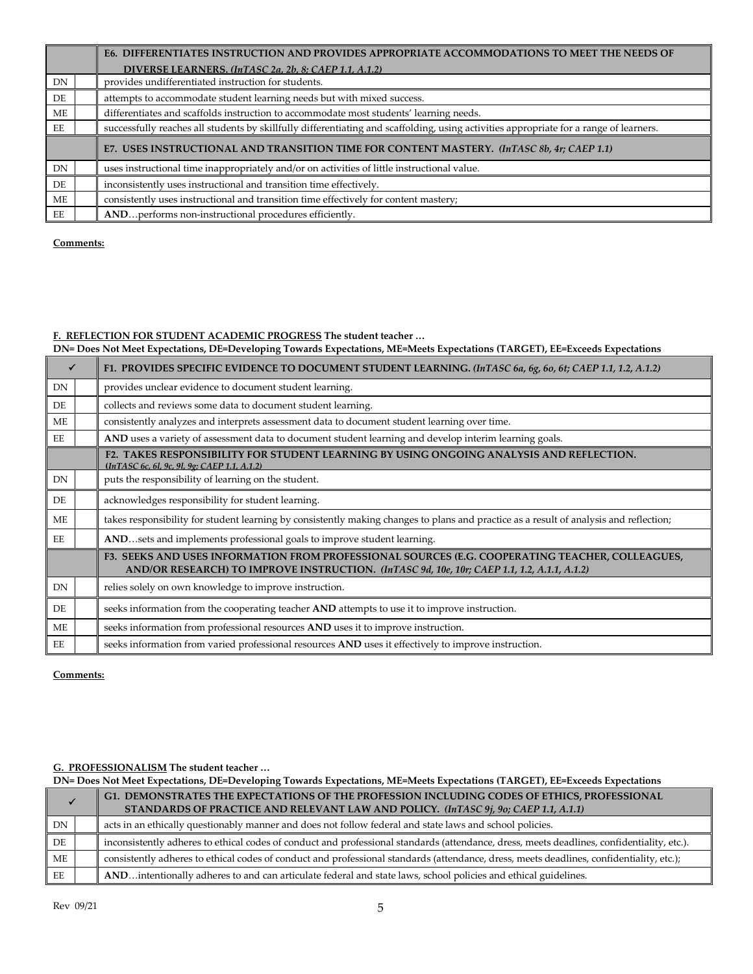|           | E6. DIFFERENTIATES INSTRUCTION AND PROVIDES APPROPRIATE ACCOMMODATIONS TO MEET THE NEEDS OF                                            |
|-----------|----------------------------------------------------------------------------------------------------------------------------------------|
|           | DIVERSE LEARNERS. (InTASC 2a, 2b, 8; CAEP 1.1, A.1.2)                                                                                  |
| DN        | provides undifferentiated instruction for students.                                                                                    |
| DE        | attempts to accommodate student learning needs but with mixed success.                                                                 |
| МE        | differentiates and scaffolds instruction to accommodate most students' learning needs.                                                 |
| EE        | successfully reaches all students by skillfully differentiating and scaffolding, using activities appropriate for a range of learners. |
|           | E7. USES INSTRUCTIONAL AND TRANSITION TIME FOR CONTENT MASTERY. (InTASC 8b, 4r; CAEP 1.1)                                              |
| <b>DN</b> | uses instructional time inappropriately and/or on activities of little instructional value.                                            |
| DE        | inconsistently uses instructional and transition time effectively.                                                                     |
| МE        | consistently uses instructional and transition time effectively for content mastery;                                                   |
| EE        | ANDperforms non-instructional procedures efficiently.                                                                                  |

## **F. REFLECTION FOR STUDENT ACADEMIC PROGRESS The student teacher …**

**DN= Does Not Meet Expectations, DE=Developing Towards Expectations, ME=Meets Expectations (TARGET), EE=Exceeds Expectations**

|    | F1. PROVIDES SPECIFIC EVIDENCE TO DOCUMENT STUDENT LEARNING. (InTASC 6a, 6g, 6o, 6t; CAEP 1.1, 1.2, A.1.2)                                                                                     |
|----|------------------------------------------------------------------------------------------------------------------------------------------------------------------------------------------------|
| DN | provides unclear evidence to document student learning.                                                                                                                                        |
| DE | collects and reviews some data to document student learning.                                                                                                                                   |
| ME | consistently analyzes and interprets assessment data to document student learning over time.                                                                                                   |
| EE | AND uses a variety of assessment data to document student learning and develop interim learning goals.                                                                                         |
|    | F2. TAKES RESPONSIBILITY FOR STUDENT LEARNING BY USING ONGOING ANALYSIS AND REFLECTION.<br>(InTASC 6c, 6l, 9c, 9l, 9g; CAEP 1.1, A.1.2)                                                        |
| DN | puts the responsibility of learning on the student.                                                                                                                                            |
| DE | acknowledges responsibility for student learning.                                                                                                                                              |
| ME | takes responsibility for student learning by consistently making changes to plans and practice as a result of analysis and reflection;                                                         |
| EE | ANDsets and implements professional goals to improve student learning.                                                                                                                         |
|    | F3. SEEKS AND USES INFORMATION FROM PROFESSIONAL SOURCES (E.G. COOPERATING TEACHER, COLLEAGUES,<br>AND/OR RESEARCH) TO IMPROVE INSTRUCTION. (InTASC 9d, 10e, 10r; CAEP 1.1, 1.2, A.1.1, A.1.2) |
| DN | relies solely on own knowledge to improve instruction.                                                                                                                                         |
| DE | seeks information from the cooperating teacher AND attempts to use it to improve instruction.                                                                                                  |
| ME | seeks information from professional resources AND uses it to improve instruction.                                                                                                              |
| EE | seeks information from varied professional resources AND uses it effectively to improve instruction.                                                                                           |

**Comments:** 

## **G. PROFESSIONALISM The student teacher …**

|    | DN= Does Not Meet Expectations, DE=Developing Towards Expectations, ME=Meets Expectations (TARGET), EE=Exceeds Expectations |                                                                                                                                            |
|----|-----------------------------------------------------------------------------------------------------------------------------|--------------------------------------------------------------------------------------------------------------------------------------------|
|    |                                                                                                                             | G1. DEMONSTRATES THE EXPECTATIONS OF THE PROFESSION INCLUDING CODES OF ETHICS, PROFESSIONAL                                                |
|    |                                                                                                                             | STANDARDS OF PRACTICE AND RELEVANT LAW AND POLICY. (InTASC 9j, 9o; CAEP 1.1, A.1.1)                                                        |
| DN |                                                                                                                             | acts in an ethically questionably manner and does not follow federal and state laws and school policies.                                   |
| DE |                                                                                                                             | inconsistently adheres to ethical codes of conduct and professional standards (attendance, dress, meets deadlines, confidentiality, etc.). |
| ME |                                                                                                                             | consistently adheres to ethical codes of conduct and professional standards (attendance, dress, meets deadlines, confidentiality, etc.);   |
| EE |                                                                                                                             | ANDintentionally adheres to and can articulate federal and state laws, school policies and ethical guidelines.                             |